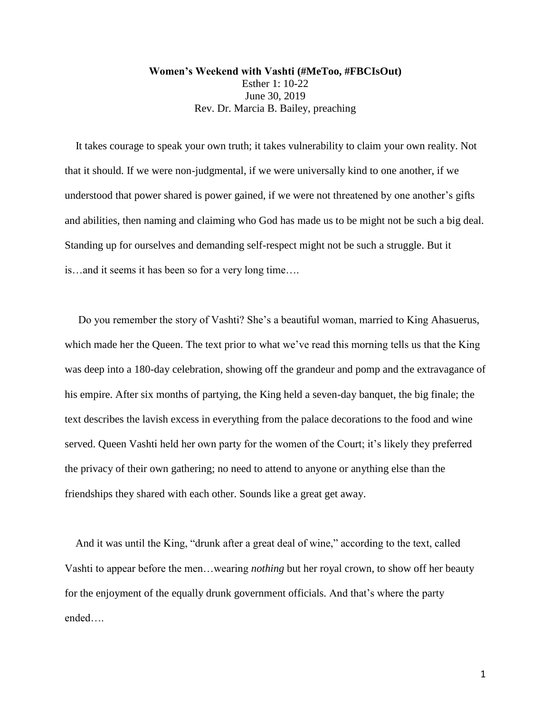**Women's Weekend with Vashti (#MeToo, #FBCIsOut)** Esther 1: 10-22 June 30, 2019 Rev. Dr. Marcia B. Bailey, preaching

 It takes courage to speak your own truth; it takes vulnerability to claim your own reality. Not that it should. If we were non-judgmental, if we were universally kind to one another, if we understood that power shared is power gained, if we were not threatened by one another's gifts and abilities, then naming and claiming who God has made us to be might not be such a big deal. Standing up for ourselves and demanding self-respect might not be such a struggle. But it is…and it seems it has been so for a very long time….

 Do you remember the story of Vashti? She's a beautiful woman, married to King Ahasuerus, which made her the Queen. The text prior to what we've read this morning tells us that the King was deep into a 180-day celebration, showing off the grandeur and pomp and the extravagance of his empire. After six months of partying, the King held a seven-day banquet, the big finale; the text describes the lavish excess in everything from the palace decorations to the food and wine served. Queen Vashti held her own party for the women of the Court; it's likely they preferred the privacy of their own gathering; no need to attend to anyone or anything else than the friendships they shared with each other. Sounds like a great get away.

 And it was until the King, "drunk after a great deal of wine," according to the text, called Vashti to appear before the men…wearing *nothing* but her royal crown, to show off her beauty for the enjoyment of the equally drunk government officials. And that's where the party ended….

1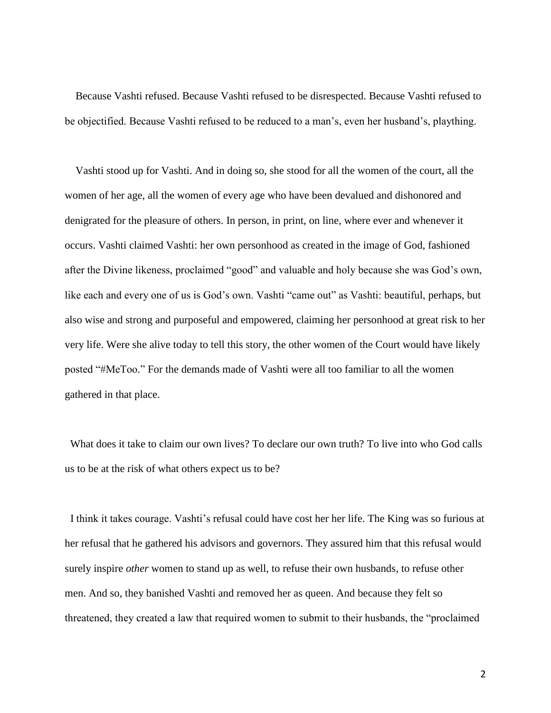Because Vashti refused. Because Vashti refused to be disrespected. Because Vashti refused to be objectified. Because Vashti refused to be reduced to a man's, even her husband's, plaything.

 Vashti stood up for Vashti. And in doing so, she stood for all the women of the court, all the women of her age, all the women of every age who have been devalued and dishonored and denigrated for the pleasure of others. In person, in print, on line, where ever and whenever it occurs. Vashti claimed Vashti: her own personhood as created in the image of God, fashioned after the Divine likeness, proclaimed "good" and valuable and holy because she was God's own, like each and every one of us is God's own. Vashti "came out" as Vashti: beautiful, perhaps, but also wise and strong and purposeful and empowered, claiming her personhood at great risk to her very life. Were she alive today to tell this story, the other women of the Court would have likely posted "#MeToo." For the demands made of Vashti were all too familiar to all the women gathered in that place.

 What does it take to claim our own lives? To declare our own truth? To live into who God calls us to be at the risk of what others expect us to be?

 I think it takes courage. Vashti's refusal could have cost her her life. The King was so furious at her refusal that he gathered his advisors and governors. They assured him that this refusal would surely inspire *other* women to stand up as well, to refuse their own husbands, to refuse other men. And so, they banished Vashti and removed her as queen. And because they felt so threatened, they created a law that required women to submit to their husbands, the "proclaimed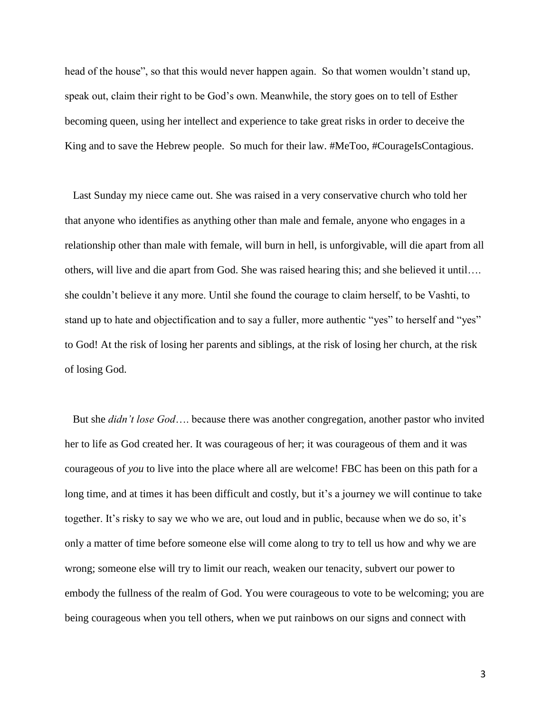head of the house", so that this would never happen again. So that women wouldn't stand up, speak out, claim their right to be God's own. Meanwhile, the story goes on to tell of Esther becoming queen, using her intellect and experience to take great risks in order to deceive the King and to save the Hebrew people. So much for their law. #MeToo, #CourageIsContagious.

 Last Sunday my niece came out. She was raised in a very conservative church who told her that anyone who identifies as anything other than male and female, anyone who engages in a relationship other than male with female, will burn in hell, is unforgivable, will die apart from all others, will live and die apart from God. She was raised hearing this; and she believed it until…. she couldn't believe it any more. Until she found the courage to claim herself, to be Vashti, to stand up to hate and objectification and to say a fuller, more authentic "yes" to herself and "yes" to God! At the risk of losing her parents and siblings, at the risk of losing her church, at the risk of losing God.

 But she *didn't lose God*…. because there was another congregation, another pastor who invited her to life as God created her. It was courageous of her; it was courageous of them and it was courageous of *you* to live into the place where all are welcome! FBC has been on this path for a long time, and at times it has been difficult and costly, but it's a journey we will continue to take together. It's risky to say we who we are, out loud and in public, because when we do so, it's only a matter of time before someone else will come along to try to tell us how and why we are wrong; someone else will try to limit our reach, weaken our tenacity, subvert our power to embody the fullness of the realm of God. You were courageous to vote to be welcoming; you are being courageous when you tell others, when we put rainbows on our signs and connect with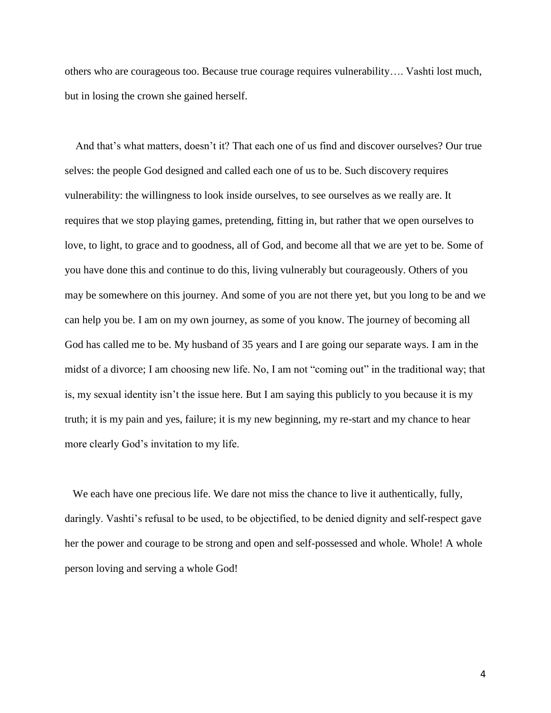others who are courageous too. Because true courage requires vulnerability…. Vashti lost much, but in losing the crown she gained herself.

 And that's what matters, doesn't it? That each one of us find and discover ourselves? Our true selves: the people God designed and called each one of us to be. Such discovery requires vulnerability: the willingness to look inside ourselves, to see ourselves as we really are. It requires that we stop playing games, pretending, fitting in, but rather that we open ourselves to love, to light, to grace and to goodness, all of God, and become all that we are yet to be. Some of you have done this and continue to do this, living vulnerably but courageously. Others of you may be somewhere on this journey. And some of you are not there yet, but you long to be and we can help you be. I am on my own journey, as some of you know. The journey of becoming all God has called me to be. My husband of 35 years and I are going our separate ways. I am in the midst of a divorce; I am choosing new life. No, I am not "coming out" in the traditional way; that is, my sexual identity isn't the issue here. But I am saying this publicly to you because it is my truth; it is my pain and yes, failure; it is my new beginning, my re-start and my chance to hear more clearly God's invitation to my life.

 We each have one precious life. We dare not miss the chance to live it authentically, fully, daringly. Vashti's refusal to be used, to be objectified, to be denied dignity and self-respect gave her the power and courage to be strong and open and self-possessed and whole. Whole! A whole person loving and serving a whole God!